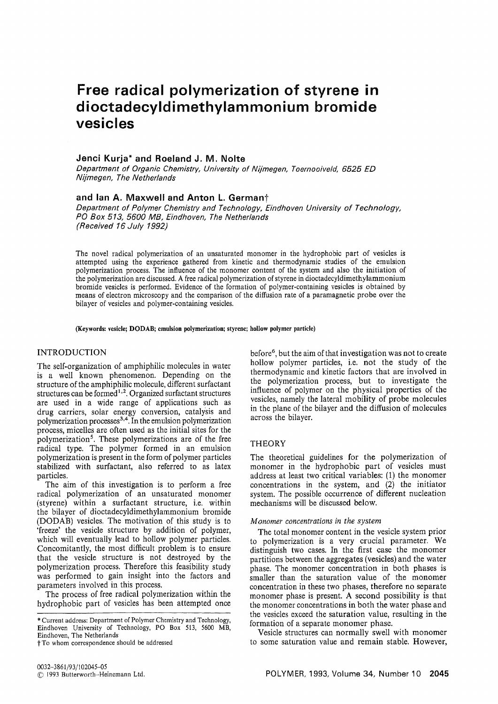# **Free radical polymerization of styrene in dioctadecyldiméthylammonium bromide vesicles**

## **Jenci Kurja\* and Roeland J. M. IMolte**

*Department of Organic Chemistry, University of Nijmegen, Toernooiveld, 6525 ED Nijmegen, The Netherlands*

# and Ian A. Maxwell and Anton L. Germant

Department of Polymer Chemistry and Technology, Eindhoven University of Technology, *PO Box 513, 5600 MB, Eindhoven, The Netherlands (Received 16 July 1992)*

The novel radical polymerization of an unsaturated monomer in the hydrophobic part of vesicles is attempted using the experience gathered from kinetic and thermodynamic studies of the emulsion polymerization process. The influence of the monomer content of the system and also the initiation of the polymerization are discussed. A free radical polymerization of styrene in dioctadecyldimethylammomum bromide vesicles is performed. Evidence of the formation of polymer-containing vesicles is obtained by means of electron microscopy and the comparison of the diffusion rate of a paramagnetic probe over the bilayer of vesicles and polymer-containing vesicles.

(Keywords: vesicle; DODÂB; emulsion polymerization; styrene; hollow polymer particle)

# INTRODUCTION

The self-organization of amphiphilic molecules in water is a well known phenomenon. Depending on the structure of the amphiphilic molecule, different surfactant structures can be formed<sup>1,2</sup>. Organized surfactant structures are used in a wide range of applications such as drug carriers, solar energy conversion, catalysis and polymerization processes<sup>3,4</sup>. In the emulsion polymerization process, micelles are often used as the initial sites for the polymerization5. These polymerizations are of the free radical type. The polymer formed in an emulsion polymerization is present in the form of polymer particles stabilized with surfactant, also referred to as latex particles.

The aim of this investigation is to perform a free radical polymerization of an unsaturated monomer (styrene) within a surfactant structure, i.e. within the bilayer of dioctadecyldimethylammonium bromide (DODAB) vesicles. The motivation of this study is to 'freeze' the vesicle structure by addition of polymer, which will eventually lead to hollow polymer particles. Concomitantly, the most difficult problem is to ensure that the vesicle structure is not destroyed by the polymerization process. Therefore this feasibility study was performed to gain insight into the factors and parameters involved in this process.

The process of free radical polymerization within the hydrophobic part of vesicles has been attempted once

\* Current address: Department of Polymer Chemistry and Technology, Eindhoven University of Technology, PO Box 513, 5600 MB, Eindhoven, The Netherlands

fTo whom correspondence should be addressed

before6, but the aim of that investigation was not to create hollow polymer particles, i.e. not the study of the thermodynamic and kinetic factors that are involved in the polymerization process, but to investigate the influence of polymer on the physical properties of the vesicles, namely the lateral mobility of probe molecules in the plane of the bilayer and the diffusion of molecules across the bilayer.

#### **THEORY**

The theoretical guidelines for the polymerization of monomer in the hydrophobic part of vesicles must address at least two critical variables: (1) the monomer concentrations in the system, and (2) the initiator system. The possible occurrence of different nucleation mechanisms will be discussed below.

#### *Monomer concentrations in the system*

The total monomer content in the vesicle system prior to polymerization is a very crucial parameter. We distinguish two cases. In the first case the monomer partitions between the aggregates (vesicles) and the water phase. The monomer concentration in both phases is smaller than the saturation value of the monomer concentration in these two phases, therefore no separate monomer phase is present. A second possibility is that the monomer concentrations in both the water phase and the vesicles exceed the saturation value, resulting in the formation of a separate monomer phase.

Vesicle structures can normally swell with monomer to some saturation value and remain stable. However,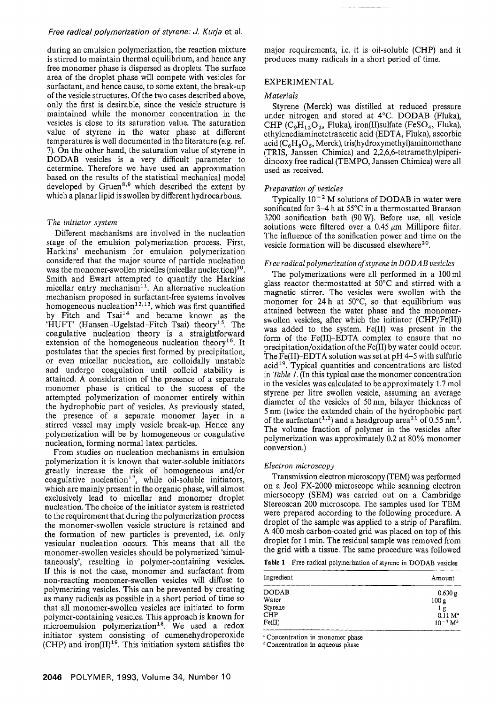## *Free radical polymerization of styrene: J. Kurja* et al.

during an emulsion polymerization, the reaction mixture is stirred to maintain thermal equilibrium, and hence any free monomer phase is dispersed as droplets. The surface area of the droplet phase will compete with vesicles for surfactant, and hence cause, to some extent, the break-up of the vesicle structures. Of the two cases described above, only the first is desirable, since the vesicle structure is maintained while the monomer concentration in the vesicles is close to its saturation value. The saturation value of styrene in the water phase at different temperatures is well documented in the literature (e.g. ref. 7), On the other hand, the saturation value of styrene in DODAB vesicles is a very difficult parameter to determine. Therefore we have used an approximation based on the results of the statistical mechanical model developed by Gruen<sup>8,9</sup> which described the extent by which a planar lipid is swollen by different hydrocarbons.

# *The initiator system*

Different mechanisms are involved in the nucléation stage of the emulsion polymerization process. First, Harkins' mechanism for emulsion polymerization considered that the major source of particle nucleation was the monomer-swollen micelles (micellar nucleation)<sup>10</sup>. Smith and Ewart attempted to quantify the Harkins micellar entry mechanism<sup>11</sup>. An alternative nucleation mechanism proposed in surfactant-free systems involves homogeneous nucleation<sup>12,13</sup>, which was first quantified by Fitch and Tsai<sup>14</sup> and became known as the 'HUFT' (Hansen-Ugelstad-Fitch-Tsai) theory<sup>15</sup>. The coagulative nucléation theory is a straightforward extension of the homogeneous nucleation theory<sup>16</sup>. It postulates that the species first formed by precipitation, or even micellar nucléation, are colloidally unstable and undergo coagulation until colloid stability is attained. A consideration of the presence of a separate monomer phase is critical to the success of the attempted polymerization of monomer entirely within the hydrophobic part of vesicles. As previously stated, the presence of a separate monomer layer in a stirred vessel may imply vesicle break-up. Hence any polymerization will be by homogeneous or coagulative nucléation, forming normal latex particles.

From studies on nucleation mechanisms in emulsion polymerization it is known that water-soluble initiators greatly increase the risk of homogeneous and/or coagulative nucleation<sup>17</sup>, while oil-soluble initiators, which are mainly present in the organic phase, will almost exclusively lead to micellar and monomer droplet nucleation. The choice of the initiator system is restricted to the requirement that during the polymerization process the monomer-swollen vesicle structure is retained and the formation of new particles is prevented, i.e. only vesicular nucléation occurs. This means that all the monomer-swollen vesicles should be polymerized 'simultaneously', resulting in polymer-containing vesicles. If this is not the case, monomer and surfactant from non-reacting monomer-swollen vesicles will diffuse to polymerizing vesicles. This can be prevented by creating as many radicals as possible in a short period of time so that all monomer-swollen vesicles are initiated to form polymer-containing vesicles. This approach is known for microemulsion polymerization<sup>18</sup>. We used a redox initiator system consisting of cumenehydroperoxide (CHP) and iron(II)<sup>19</sup>. This initiation system satisfies the major requirements, i.e. it is oil-soluble (CHP) and it produces many radicals in a short period of time.

## **EXPERIMENTAL**

#### *Materials*

Styrene (Merck) was distilled at reduced pressure under nitrogen and stored at 4°C. DODAB (Fluka), CHP ( $C_9H_{12}O_2$ , Fluka), iron(II)sulfate (FeSO<sub>4</sub>, Fluka), ethylenediaminetetraacetic acid (EDTA, Fluka), ascorbic acid ( $C_6H_8O_6$ , Merck), tris(hydroxymethyl)aminomethane (TRIS, Janssen Chimica) and 2,2,6,6-tetramethylpiperidinooxy free radical (TEMPO, Janssen Chimica) were all used as received.

## **Preparation of vesicles**

Typically  $10^{-2}$  M solutions of DODAB in water were sonificated for 3-4 h at 55°C in a thermostatted Branson 3200 sonification bath (90 W). Before use, all vesicle solutions were filtered over a 0.45  $\mu$ m Millipore filter. The influence of the sonification power and time on the vesicle formation will be discussed elsewhere<sup>20</sup>.

## Free radical polymerization of styrene in DODAB vesicles

The polymerizations were all performed in a 100 ml glass reactor thermostatted at 50°C and stirred with a magnetic stirrer. The vesicles were swollen with the monomer for 24 h at 50°C, so that equilibrium was attained between the water phase and the monomerswollen vesicles, after which the initiator (CHP/Fe(II)) was added to the system. Fe(II) was present in the form of the Fe(II)-EDTA complex to ensure that no precipitation/oxidation of the Fe(II) by water could occur. The Fe(II)-EDTA solution was set at pH 4-5 with sulfuric  $acid<sup>19</sup>$ . Typical quantities and concentrations are listed in *Table 1.* (In this typical case the monomer concentration in the vesicles was calculated to be approximately 1.7 mol styrene per litre swollen vesicle, assuming an average diameter of the vesicles of 50 nm, bilayer thickness of 5 nm (twice the extended chain of the hydrophobic part of the surfactant<sup>1,2</sup>) and a headgroup area<sup>21</sup> of 0.55 nm<sup>2</sup>. The volume fraction of polymer in the vesicles after polymerization was approximately 0.2 at 80% monomer conversion.)

#### *Electron microscopy*

Transmission electron microscopy (TEM) was performed on a Jeol FX-2000 microscope while scanning electron micrsocopy (SEM) was carried out on a Cambridge Stereoscan 200 microscope. The samples used for TEM were prepared according to the following procedure. A droplet of the sample was applied to a strip of Parafilm. A 400 mesh carbon-coated grid was placed on top of this droplet for 1 min. The residual sample was removed from the grid with a tissue. The same procedure was followed

Table 1 Free radical polymerization of styrene in DODAB vesicles

| Ingredient   | Amount              |
|--------------|---------------------|
| <b>DODAB</b> | 0.630 g             |
| Water        | 100 g               |
| Styrene      | 1 g                 |
| <b>CHP</b>   | 0.11 M <sup>a</sup> |
| Fe(II)       | $10^{-7} M^b$       |

" Concentration in monomer phase

*b* Concentration in aqueous phase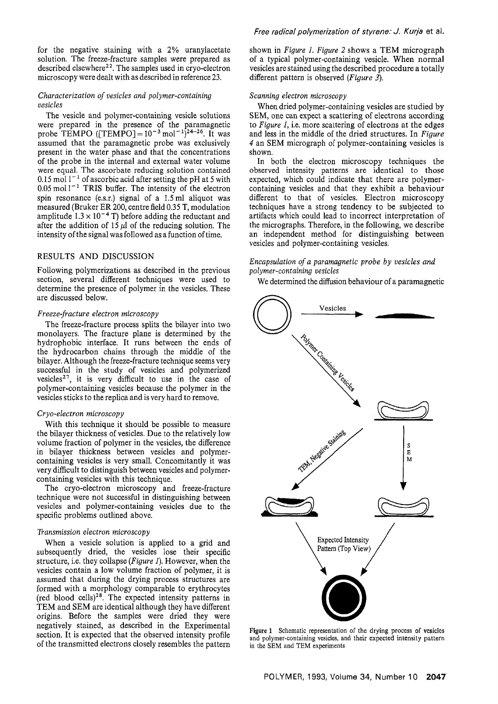for the negative staining with a 2% uranylacetate solution. The freeze-fracture samples were prepared as described elsewhere<sup>22</sup>. The samples used in cryo-electron microscopy were dealt with as described in reference 23.

#### *Characterization of vesicles and polymer-containing vesicles*

The vesicle and polymer-containing vesicle solutions were prepared in the presence of the paramagnetic probe TEMPO ([TEMPO] =  $10^{-3}$  mol<sup>-1</sup>)<sup>24-26</sup>. It was assumed that the paramagnetic probe was exclusively present in the water phase and that the concentrations of the probe in the internal and external water volume were equal. The ascorbate reducing solution contained 0.15 mol  $1^{-1}$  of ascorbic acid after setting the pH at 5 with  $0.05 \text{ mol}1^{-1}$  TRIS buffer. The intensity of the electron spin resonance (e.s.r.) signal of a 1.5 ml aliquot was measured (Bruker ER 200, centre field 0.35 T, modulation amplitude  $1.3 \times 10^{-4}$  T) before adding the reductant and after the addition of  $15 \mu l$  of the reducing solution. The intensity of the signal was followed as a function of time.

#### RESULTS AND DISCUSSION

Following polymerizations as described in the previous section, several different techniques were used to determine the presence of polymer in the vesicles. These are discussed below.

#### *Freeze-fracture electron microscopy*

The freeze-fracture process splits the bilayer into two monolayers. The fracture plane is determined by the hydrophobic interface. It runs between the ends of the hydrocarbon chains through the middle of the bilayer. Although the freeze-fracture technique seems very successful in the study of vesicles and polymerized vesicles<sup>27</sup>, it is very difficult to use in the case of polymer-containing vesicles because the polymer in the vesicles sticks to the replica and is very hard to remove.

#### *Cryo-electron microscopy*

With this technique it should be possible to measure the bilayer thickness of vesicles. Due to the relatively low volume fraction of polymer in the vesicles, the difference in bilayer thickness between vesicles and polymercontaining vesicles is very small. Concomitantly it was very difficult to distinguish between vesicles and polymercontaining vesicles with this technique.

The cryo-electron microscopy and freeze-fracture technique were not successful in distinguishing between vesicles and polymer-containing vesicles due to the specific problems outlined above.

#### *Transmission electron microscopy*

When a vesicle solution is applied to a grid and subsequently dried, the vesicles lose their specific structure, i.e. they collapse (*Figure 1).* However, when the vesicles contain a low volume fraction of polymer, it is assumed that during the drying process structures are formed with a morphology comparable to erythrocytes (red blood cells)28. The expected intensity patterns in TEM and SEM are identical although they have different origins. Before the samples were dried they were negatively stained, as described in the Experimental section. It is expected that the observed intensity profile of the transmitted electrons closely resembles the pattern shown in *Figure 1. Figure 2* shows a TEM micrograph of a typical polymer-containing vesicle. When normal vesicles are stained using the described procedure a totally different pattern is observed *(Figure 3).*

#### *Scanning electron microscopy*

When dried polymer-containing vesicles are studied by SEM, one can expect a scattering of electrons according to *Figure 1*, i.e. more scattering of electrons at the edges and less in the middle of the dried structures. In *Figure 4* an SEM micrograph of polymer-containing vesicles is shown.

In both the electron microscopy techniques the observed intensity patterns are identical to those expected, which could indicate that there are polymercontaining vesicles and that they exhibit a behaviour different to that of vesicles. Electron microscopy techniques have a strong tendency to be subjected to artifacts which could lead to incorrect interpretation of the micrographs. Therefore, in the following, we describe an independent method for distinguishing between vesicles and polymer-containing vesicles.

#### *Encapsulation of a paramagnetic probe by vesicles and polymer-containing vesicles*

We determined the diffusion behaviour of a paramagnetic



Figure 1 Schematic representation of the drying process of vesicles and polymer-containing vesicles, and their expected intensity pattern in the SEM and TEM experiments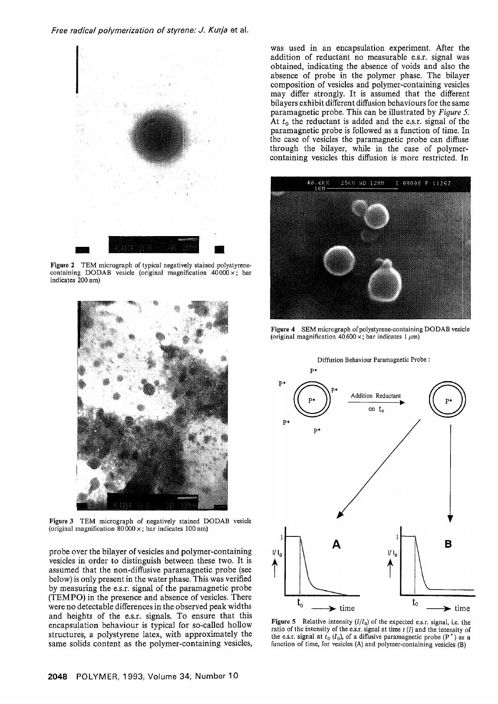

Figure 2 TEM micrograph of typical negatively stained polystyrenecontaining DODAB vesicle (original magnification  $40000 \times$ ; bar indicates 200 nm)



Figure 3 TEM micrograph of negatively stained DODAB vesicle (original magnification  $80\,000 \times$ ; bar indicates 100 nm)

probe over the bilayer of vesicles and polymer-containing vesicles in order to distinguish between these two. It is assumed that the non-diffusive paramagnetic probe (see below) is only present in the water phase. This was verified by measuring the e.s.r. signal of the paramagnetic probe (TEMPO) in the presence and absence of vesicles. There were no detectable differences in the observed peak widths and heights of the e.s.r. signals. To ensure that this encapsulation behaviour is typical for so-called hollow structures, a polystyrene latex, with approximately the same solids content as the polymer-containing vesicles,

was used in an encapsulation experiment. After the addition of reductant no measurable e.s.r. signal was obtained, indicating the absence of voids and also the absence of probe in the polymer phase. The bilayer composition of vesicles and polymer-containing vesicles may differ strongly. It is assumed that the different bilayers exhibit different diffusion behaviours for the same paramagnetic probe. This can be illustrated by *Figure 5.* At  $t_0$  the reductant is added and the e.s.r. signal of the paramagnetic probe is followed as a function of time. In the case of vesicles the paramagnetic probe can diffuse through the bilayer, while in the case of polymercontaining vesicles this diffusion is more restricted. In



Figure 4 SEM micrograph of polystyrene-containing DODAB vesicle (original magnification  $40600 \times$ ; bar indicates 1  $\mu$ m)



**Figure 5** Relative intensity  $(I/I_0)$  of the expected e.s.r. signal, i.e. the ratio of the intensity of the e.s.r. signal at time *t (I)* and the intensity of the e.s.r. signal at  $t_0$  ( $I_0$ ), of a diffusive paramagnetic probe (P<sup>\*</sup>) as a function of time, for vesicles (A) and polymer-containing vesicles (B)